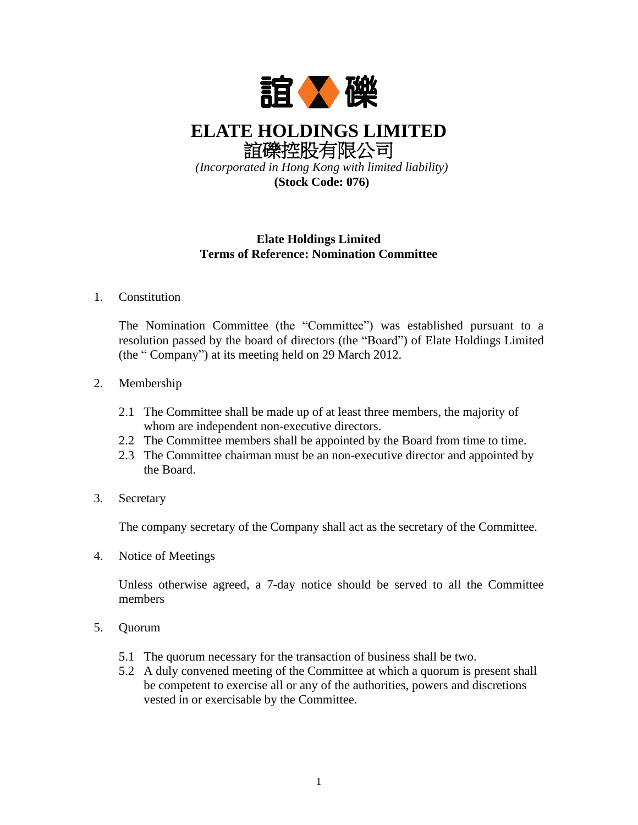

**ELATE HOLDINGS LIMITED** 誼礫控股有限公司

*(Incorporated in Hong Kong with limited liability)* **(Stock Code: 076)**

## **Elate Holdings Limited Terms of Reference: Nomination Committee**

## 1. Constitution

The Nomination Committee (the "Committee") was established pursuant to a resolution passed by the board of directors (the "Board") of Elate Holdings Limited (the " Company") at its meeting held on 29 March 2012.

## 2. Membership

- 2.1 The Committee shall be made up of at least three members, the majority of whom are independent non-executive directors.
- 2.2 The Committee members shall be appointed by the Board from time to time.
- 2.3 The Committee chairman must be an non-executive director and appointed by the Board.
- 3. Secretary

The company secretary of the Company shall act as the secretary of the Committee.

4. Notice of Meetings

Unless otherwise agreed, a 7-day notice should be served to all the Committee members

- 5. Quorum
	- 5.1 The quorum necessary for the transaction of business shall be two.
	- 5.2 A duly convened meeting of the Committee at which a quorum is present shall be competent to exercise all or any of the authorities, powers and discretions vested in or exercisable by the Committee.